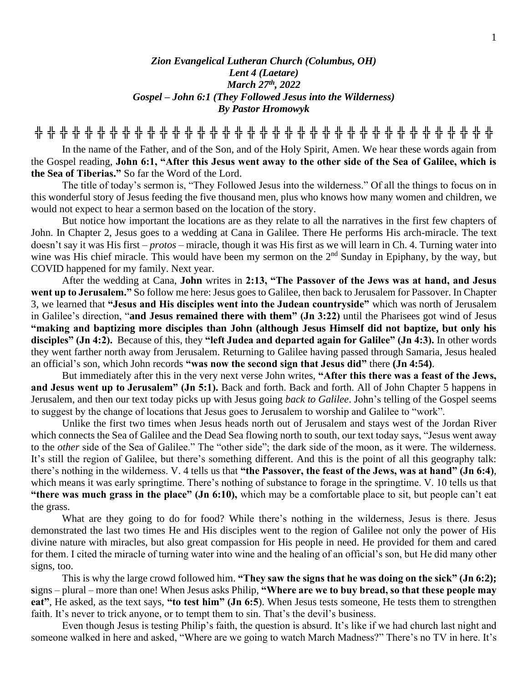## *Zion Evangelical Lutheran Church (Columbus, OH) Lent 4 (Laetare) March 27 th , 2022 Gospel – John 6:1 (They Followed Jesus into the Wilderness) By Pastor Hromowyk*

**╬ ╬ ╬ ╬ ╬ ╬ ╬ ╬ ╬ ╬ ╬ ╬ ╬ ╬ ╬ ╬ ╬ ╬ ╬ ╬ ╬ ╬ ╬ ╬ ╬ ╬ ╬ ╬ ╬ ╬ ╬ ╬ ╬ ╬ ╬ ╬ ╬**

In the name of the Father, and of the Son, and of the Holy Spirit, Amen. We hear these words again from the Gospel reading, **John 6:1, "After this Jesus went away to the other side of the Sea of Galilee, which is the Sea of Tiberias."** So far the Word of the Lord.

The title of today's sermon is, "They Followed Jesus into the wilderness." Of all the things to focus on in this wonderful story of Jesus feeding the five thousand men, plus who knows how many women and children, we would not expect to hear a sermon based on the location of the story.

But notice how important the locations are as they relate to all the narratives in the first few chapters of John. In Chapter 2, Jesus goes to a wedding at Cana in Galilee. There He performs His arch-miracle. The text doesn't say it was His first – *protos* – miracle, though it was His first as we will learn in Ch. 4. Turning water into wine was His chief miracle. This would have been my sermon on the  $2<sup>nd</sup>$  Sunday in Epiphany, by the way, but COVID happened for my family. Next year.

After the wedding at Cana, **John** writes in **2:13, "The Passover of the Jews was at hand, and Jesus went up to Jerusalem."** So follow me here: Jesus goes to Galilee, then back to Jerusalem for Passover. In Chapter 3, we learned that **"Jesus and His disciples went into the Judean countryside"** which was north of Jerusalem in Galilee's direction, "**and Jesus remained there with them" (Jn 3:22)** until the Pharisees got wind of Jesus **"making and baptizing more disciples than John (although Jesus Himself did not baptize, but only his disciples" (Jn 4:2).** Because of this, they **"left Judea and departed again for Galilee" (Jn 4:3).** In other words they went farther north away from Jerusalem. Returning to Galilee having passed through Samaria, Jesus healed an official's son, which John records **"was now the second sign that Jesus did"** there **(Jn 4:54)**.

But immediately after this in the very next verse John writes, **"After this there was a feast of the Jews, and Jesus went up to Jerusalem" (Jn 5:1).** Back and forth. Back and forth. All of John Chapter 5 happens in Jerusalem, and then our text today picks up with Jesus going *back to Galilee*. John's telling of the Gospel seems to suggest by the change of locations that Jesus goes to Jerusalem to worship and Galilee to "work".

Unlike the first two times when Jesus heads north out of Jerusalem and stays west of the Jordan River which connects the Sea of Galilee and the Dead Sea flowing north to south, our text today says, "Jesus went away to the *other* side of the Sea of Galilee." The "other side"; the dark side of the moon, as it were. The wilderness. It's still the region of Galilee, but there's something different. And this is the point of all this geography talk: there's nothing in the wilderness. V. 4 tells us that **"the Passover, the feast of the Jews, was at hand" (Jn 6:4)**, which means it was early springtime. There's nothing of substance to forage in the springtime. V. 10 tells us that **"there was much grass in the place" (Jn 6:10),** which may be a comfortable place to sit, but people can't eat the grass.

What are they going to do for food? While there's nothing in the wilderness, Jesus is there. Jesus demonstrated the last two times He and His disciples went to the region of Galilee not only the power of His divine nature with miracles, but also great compassion for His people in need. He provided for them and cared for them. I cited the miracle of turning water into wine and the healing of an official's son, but He did many other signs, too.

This is why the large crowd followed him. **"They saw the signs that he was doing on the sick" (Jn 6:2); s**igns – plural – more than one! When Jesus asks Philip, **"Where are we to buy bread, so that these people may eat"**, He asked, as the text says, **"to test him" (Jn 6:5**). When Jesus tests someone, He tests them to strengthen faith. It's never to trick anyone, or to tempt them to sin. That's the devil's business.

Even though Jesus is testing Philip's faith, the question is absurd. It's like if we had church last night and someone walked in here and asked, "Where are we going to watch March Madness?" There's no TV in here. It's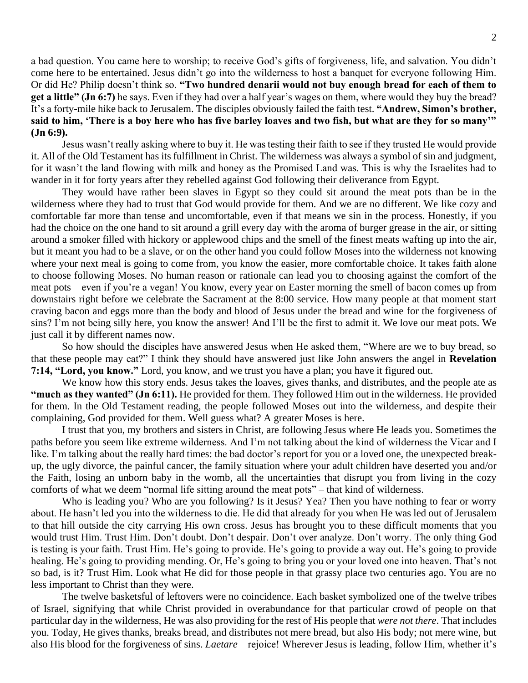a bad question. You came here to worship; to receive God's gifts of forgiveness, life, and salvation. You didn't come here to be entertained. Jesus didn't go into the wilderness to host a banquet for everyone following Him. Or did He? Philip doesn't think so. **"Two hundred denarii would not buy enough bread for each of them to get a little" (Jn 6:7)** he says. Even if they had over a half year's wages on them, where would they buy the bread? It's a forty-mile hike back to Jerusalem. The disciples obviously failed the faith test. **"Andrew, Simon's brother,**  said to him, 'There is a boy here who has five barley loaves and two fish, but what are they for so many'" **(Jn 6:9).** 

Jesus wasn't really asking where to buy it. He was testing their faith to see if they trusted He would provide it. All of the Old Testament has its fulfillment in Christ. The wilderness was always a symbol of sin and judgment, for it wasn't the land flowing with milk and honey as the Promised Land was. This is why the Israelites had to wander in it for forty years after they rebelled against God following their deliverance from Egypt.

They would have rather been slaves in Egypt so they could sit around the meat pots than be in the wilderness where they had to trust that God would provide for them. And we are no different. We like cozy and comfortable far more than tense and uncomfortable, even if that means we sin in the process. Honestly, if you had the choice on the one hand to sit around a grill every day with the aroma of burger grease in the air, or sitting around a smoker filled with hickory or applewood chips and the smell of the finest meats wafting up into the air, but it meant you had to be a slave, or on the other hand you could follow Moses into the wilderness not knowing where your next meal is going to come from, you know the easier, more comfortable choice. It takes faith alone to choose following Moses. No human reason or rationale can lead you to choosing against the comfort of the meat pots – even if you're a vegan! You know, every year on Easter morning the smell of bacon comes up from downstairs right before we celebrate the Sacrament at the 8:00 service. How many people at that moment start craving bacon and eggs more than the body and blood of Jesus under the bread and wine for the forgiveness of sins? I'm not being silly here, you know the answer! And I'll be the first to admit it. We love our meat pots. We just call it by different names now.

So how should the disciples have answered Jesus when He asked them, "Where are we to buy bread, so that these people may eat?" I think they should have answered just like John answers the angel in **Revelation 7:14, "Lord, you know."** Lord, you know, and we trust you have a plan; you have it figured out.

We know how this story ends. Jesus takes the loaves, gives thanks, and distributes, and the people ate as **"much as they wanted" (Jn 6:11).** He provided for them. They followed Him out in the wilderness. He provided for them. In the Old Testament reading, the people followed Moses out into the wilderness, and despite their complaining, God provided for them. Well guess what? A greater Moses is here.

I trust that you, my brothers and sisters in Christ, are following Jesus where He leads you. Sometimes the paths before you seem like extreme wilderness. And I'm not talking about the kind of wilderness the Vicar and I like. I'm talking about the really hard times: the bad doctor's report for you or a loved one, the unexpected breakup, the ugly divorce, the painful cancer, the family situation where your adult children have deserted you and/or the Faith, losing an unborn baby in the womb, all the uncertainties that disrupt you from living in the cozy comforts of what we deem "normal life sitting around the meat pots" – that kind of wilderness.

Who is leading you? Who are you following? Is it Jesus? Yea? Then you have nothing to fear or worry about. He hasn't led you into the wilderness to die. He did that already for you when He was led out of Jerusalem to that hill outside the city carrying His own cross. Jesus has brought you to these difficult moments that you would trust Him. Trust Him. Don't doubt. Don't despair. Don't over analyze. Don't worry. The only thing God is testing is your faith. Trust Him. He's going to provide. He's going to provide a way out. He's going to provide healing. He's going to providing mending. Or, He's going to bring you or your loved one into heaven. That's not so bad, is it? Trust Him. Look what He did for those people in that grassy place two centuries ago. You are no less important to Christ than they were.

The twelve basketsful of leftovers were no coincidence. Each basket symbolized one of the twelve tribes of Israel, signifying that while Christ provided in overabundance for that particular crowd of people on that particular day in the wilderness, He was also providing for the rest of His people that *were not there*. That includes you. Today, He gives thanks, breaks bread, and distributes not mere bread, but also His body; not mere wine, but also His blood for the forgiveness of sins. *Laetare* – rejoice! Wherever Jesus is leading, follow Him, whether it's